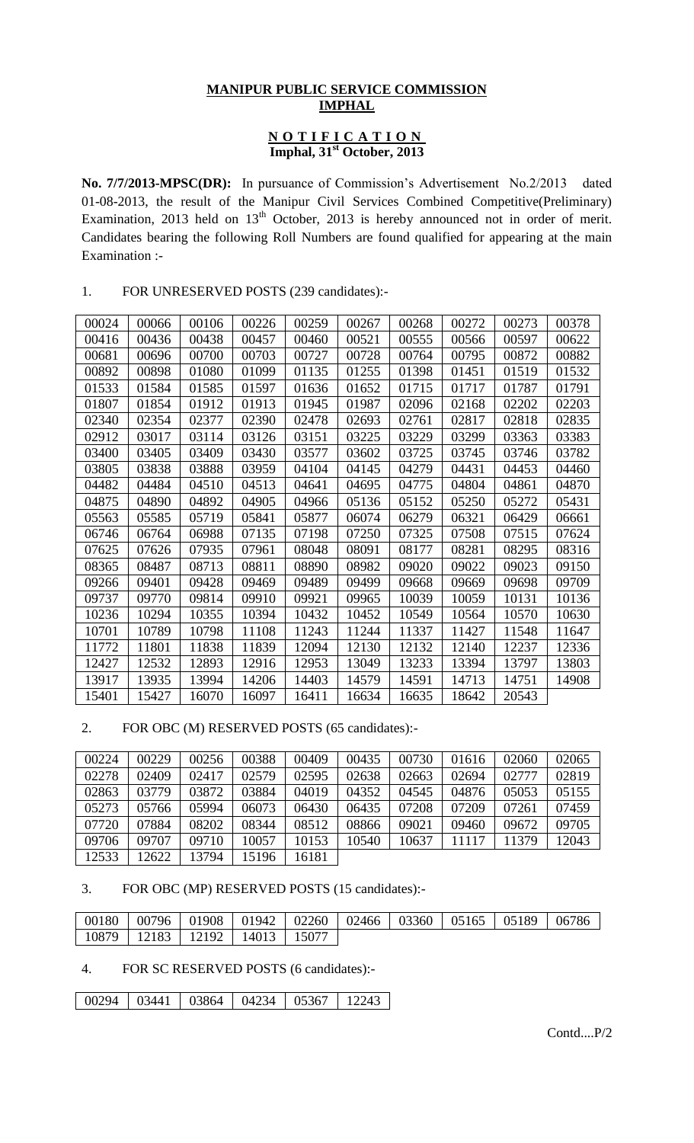## **MANIPUR PUBLIC SERVICE COMMISSION IMPHAL**

#### **N O T I F I C A T I O N Imphal, 31st October, 2013**

**No. 7/7/2013-MPSC(DR):** In pursuance of Commission's Advertisement No.2/2013 dated 01-08-2013, the result of the Manipur Civil Services Combined Competitive(Preliminary) Examination, 2013 held on 13<sup>th</sup> October, 2013 is hereby announced not in order of merit. Candidates bearing the following Roll Numbers are found qualified for appearing at the main Examination :-

## 1. FOR UNRESERVED POSTS (239 candidates):-

| 00024 | 00066 | 00106 | 00226 | 00259 | 00267 | 00268 | 00272 | 00273 | 00378 |
|-------|-------|-------|-------|-------|-------|-------|-------|-------|-------|
| 00416 | 00436 | 00438 | 00457 | 00460 | 00521 | 00555 | 00566 | 00597 | 00622 |
| 00681 | 00696 | 00700 | 00703 | 00727 | 00728 | 00764 | 00795 | 00872 | 00882 |
| 00892 | 00898 | 01080 | 01099 | 01135 | 01255 | 01398 | 01451 | 01519 | 01532 |
| 01533 | 01584 | 01585 | 01597 | 01636 | 01652 | 01715 | 01717 | 01787 | 01791 |
| 01807 | 01854 | 01912 | 01913 | 01945 | 01987 | 02096 | 02168 | 02202 | 02203 |
| 02340 | 02354 | 02377 | 02390 | 02478 | 02693 | 02761 | 02817 | 02818 | 02835 |
| 02912 | 03017 | 03114 | 03126 | 03151 | 03225 | 03229 | 03299 | 03363 | 03383 |
| 03400 | 03405 | 03409 | 03430 | 03577 | 03602 | 03725 | 03745 | 03746 | 03782 |
| 03805 | 03838 | 03888 | 03959 | 04104 | 04145 | 04279 | 04431 | 04453 | 04460 |
| 04482 | 04484 | 04510 | 04513 | 04641 | 04695 | 04775 | 04804 | 04861 | 04870 |
| 04875 | 04890 | 04892 | 04905 | 04966 | 05136 | 05152 | 05250 | 05272 | 05431 |
| 05563 | 05585 | 05719 | 05841 | 05877 | 06074 | 06279 | 06321 | 06429 | 06661 |
| 06746 | 06764 | 06988 | 07135 | 07198 | 07250 | 07325 | 07508 | 07515 | 07624 |
| 07625 | 07626 | 07935 | 07961 | 08048 | 08091 | 08177 | 08281 | 08295 | 08316 |
| 08365 | 08487 | 08713 | 08811 | 08890 | 08982 | 09020 | 09022 | 09023 | 09150 |
| 09266 | 09401 | 09428 | 09469 | 09489 | 09499 | 09668 | 09669 | 09698 | 09709 |
| 09737 | 09770 | 09814 | 09910 | 09921 | 09965 | 10039 | 10059 | 10131 | 10136 |
| 10236 | 10294 | 10355 | 10394 | 10432 | 10452 | 10549 | 10564 | 10570 | 10630 |
| 10701 | 10789 | 10798 | 11108 | 11243 | 11244 | 11337 | 11427 | 11548 | 11647 |
| 11772 | 11801 | 11838 | 11839 | 12094 | 12130 | 12132 | 12140 | 12237 | 12336 |
| 12427 | 12532 | 12893 | 12916 | 12953 | 13049 | 13233 | 13394 | 13797 | 13803 |
| 13917 | 13935 | 13994 | 14206 | 14403 | 14579 | 14591 | 14713 | 14751 | 14908 |
| 15401 | 15427 | 16070 | 16097 | 16411 | 16634 | 16635 | 18642 | 20543 |       |

2. FOR OBC (M) RESERVED POSTS (65 candidates):-

| 00224 | 00229 | 00256 | 00388 | 00409 | 00435 | 00730 | 01616 | 02060 | 02065 |
|-------|-------|-------|-------|-------|-------|-------|-------|-------|-------|
| 02278 | 02409 | 02417 | 02579 | 02595 | 02638 | 02663 | 02694 | 02777 | 02819 |
| 02863 | 03779 | 03872 | 03884 | 04019 | 04352 | 04545 | 04876 | 05053 | 05155 |
| 05273 | 05766 | 05994 | 06073 | 06430 | 06435 | 07208 | 07209 | 07261 | 07459 |
| 07720 | 07884 | 08202 | 08344 | 08512 | 08866 | 09021 | 09460 | 09672 | 09705 |
| 09706 | 09707 | 09710 | 10057 | 10153 | 10540 | 10637 | 11117 | 11379 | 12043 |
| 12533 | 12622 | 13794 | 15196 | 16181 |       |       |       |       |       |

# 3. FOR OBC (MP) RESERVED POSTS (15 candidates):-

| 00180 | 00796 | 01908 |       |       | $\vert$ 01942 $\vert$ 02260 $\vert$ 02466 $\vert$ 03360 $\vert$ 05165 $\vert$ 05189 |  | 06786 |
|-------|-------|-------|-------|-------|-------------------------------------------------------------------------------------|--|-------|
| 10879 | 12183 | 12192 | 14013 | 15077 |                                                                                     |  |       |

#### 4. FOR SC RESERVED POSTS (6 candidates):-

03441 03864 04234 05367 12243